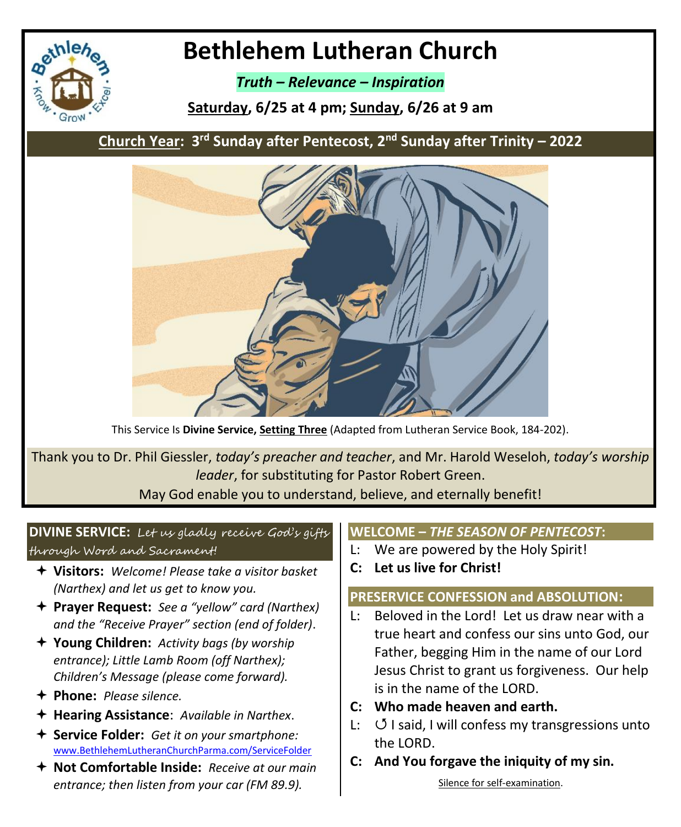

# **Bethlehem Lutheran Church**

*Truth – Relevance – Inspiration*

**Saturday, 6/25 at 4 pm; Sunday, 6/26 at 9 am**

**Church Year: 3 rd Sunday after Pentecost, 2nd Sunday after Trinity – 2022**



This Service Is **Divine Service, Setting Three** (Adapted from Lutheran Service Book, 184-202).

Thank you to Dr. Phil Giessler, *today's preacher and teacher*, and Mr. Harold Weseloh, *today's worship leader*, for substituting for Pastor Robert Green.

May God enable you to understand, believe, and eternally benefit!

# **DIVINE SERVICE:** Let us gladly receive God's gifts through Word and Sacrament!

- **Visitors:** *Welcome! Please take a visitor basket (Narthex) and let us get to know you.*
- **Prayer Request:** *See a "yellow" card (Narthex) and the "Receive Prayer" section (end of folder)*.
- **Young Children:** *Activity bags (by worship entrance); Little Lamb Room (off Narthex); Children's Message (please come forward).*
- **Phone:** *Please silence.*
- **Hearing Assistance**: *Available in Narthex*.
- **Service Folder:** *Get it on your smartphone:* [www.BethlehemLutheranChurchParma.com/ServiceFolder](http://www.bethlehemlutheranchurchparma.com/ServiceFolder)
- **Not Comfortable Inside:** *Receive at our main entrance; then listen from your car (FM 89.9).*

#### **WELCOME –** *THE SEASON OF PENTECOST***:**

- L: We are powered by the Holy Spirit!
- **C: Let us live for Christ!**

# **PRESERVICE CONFESSION and ABSOLUTION:**

- L: Beloved in the Lord! Let us draw near with a true heart and confess our sins unto God, our Father, begging Him in the name of our Lord Jesus Christ to grant us forgiveness. Our help is in the name of the LORD.
- **C: Who made heaven and earth.**
- L:  $\circ$  I said, I will confess my transgressions unto the LORD.
- **C: And You forgave the iniquity of my sin.**

Silence for self-examination.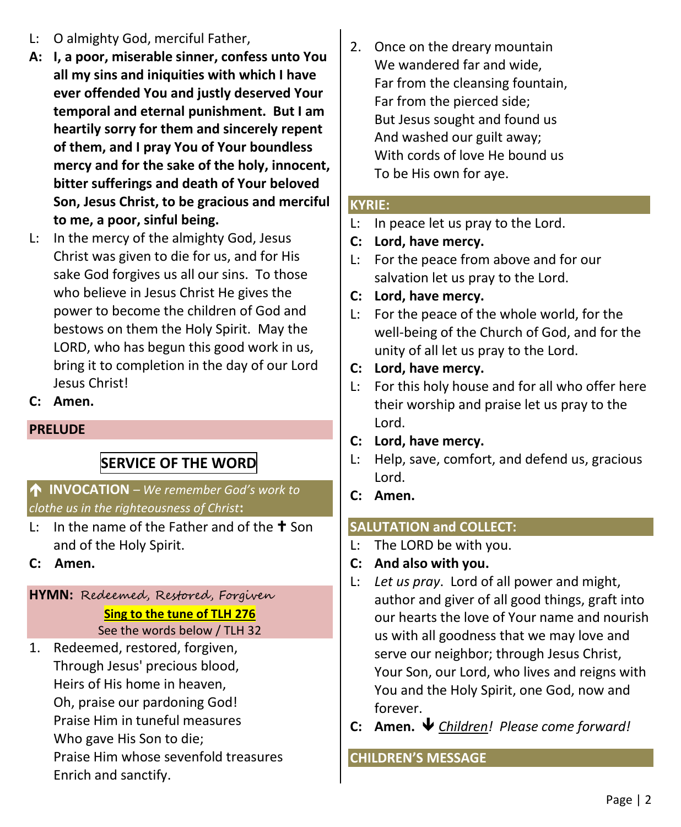- L: O almighty God, merciful Father,
- **A: I, a poor, miserable sinner, confess unto You all my sins and iniquities with which I have ever offended You and justly deserved Your temporal and eternal punishment. But I am heartily sorry for them and sincerely repent of them, and I pray You of Your boundless mercy and for the sake of the holy, innocent, bitter sufferings and death of Your beloved Son, Jesus Christ, to be gracious and merciful to me, a poor, sinful being.**
- L: In the mercy of the almighty God, Jesus Christ was given to die for us, and for His sake God forgives us all our sins. To those who believe in Jesus Christ He gives the power to become the children of God and bestows on them the Holy Spirit. May the LORD, who has begun this good work in us, bring it to completion in the day of our Lord Jesus Christ!
- **C: Amen.**

# **PRELUDE**

# **SERVICE OF THE WORD**

# **INVOCATION** *– We remember God's work to clothe us in the righteousness of Christ***:**

- L: In the name of the Father and of the  $\pm$  Son and of the Holy Spirit.
- **C: Amen.**

# **HYMN:** Redeemed, Restored, Forgiven **Sing to the tune of TLH 276** See the words below / TLH 32

1. Redeemed, restored, forgiven, Through Jesus' precious blood, Heirs of His home in heaven, Oh, praise our pardoning God! Praise Him in tuneful measures Who gave His Son to die; Praise Him whose sevenfold treasures Enrich and sanctify.

2. Once on the dreary mountain We wandered far and wide, Far from the cleansing fountain, Far from the pierced side; But Jesus sought and found us And washed our guilt away; With cords of love He bound us To be His own for aye.

#### **KYRIE:**

- L: In peace let us pray to the Lord.
- **C: Lord, have mercy.**
- L: For the peace from above and for our salvation let us pray to the Lord.
- **C: Lord, have mercy.**
- L: For the peace of the whole world, for the well-being of the Church of God, and for the unity of all let us pray to the Lord.
- **C: Lord, have mercy.**
- L: For this holy house and for all who offer here their worship and praise let us pray to the Lord.
- **C: Lord, have mercy.**
- L: Help, save, comfort, and defend us, gracious Lord.
- **C: Amen.**

# **SALUTATION and COLLECT:**

- L: The LORD be with you.
- **C: And also with you.**
- L: *Let us pray*. Lord of all power and might, author and giver of all good things, graft into our hearts the love of Your name and nourish us with all goodness that we may love and serve our neighbor; through Jesus Christ, Your Son, our Lord, who lives and reigns with You and the Holy Spirit, one God, now and forever.
- **C: Amen.** *Children! Please come forward!*

#### **CHILDREN'S MESSAGE**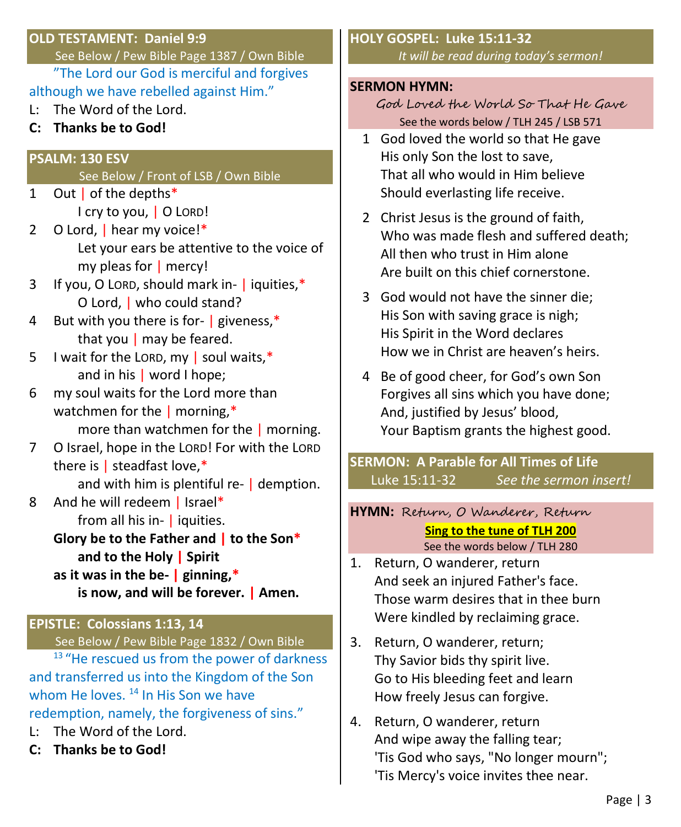#### **OLD TESTAMENT: Daniel 9:9**

See Below / Pew Bible Page 1387 / Own Bible "The Lord our God is merciful and forgives

- although we have rebelled against Him."
- L: The Word of the Lord.
- **C: Thanks be to God!**

#### **PSALM: 130 ESV**

#### See Below / Front of LSB / Own Bible

- 1 Out | of the depths\* I cry to you, | O LORD!
- 2 O Lord, | hear my voice!\* Let your ears be attentive to the voice of my pleas for | mercy!
- 3 If you, O LORD, should mark in- | iquities,\* O Lord, | who could stand?
- 4 But with you there is for- | giveness,\* that you  $|$  may be feared.
- 5 I wait for the LORD, my  $\vert$  soul waits,\* and in his | word I hope;
- 6 my soul waits for the Lord more than watchmen for the | morning,\* more than watchmen for the | morning.
- 7 O Israel, hope in the LORD! For with the LORD
- there is | steadfast love,\* and with him is plentiful re- | demption.
- 8 And he will redeem | Israel\* from all his in- | iquities.
	- **Glory be to the Father and | to the Son\* and to the Holy | Spirit**
	- **as it was in the be- | ginning,\* is now, and will be forever. | Amen.**

# **EPISTLE: Colossians 1:13, 14**

See Below / Pew Bible Page 1832 / Own Bible

<sup>13</sup> "He rescued us from the power of darkness and transferred us into the Kingdom of the Son whom He loves. <sup>14</sup> In His Son we have redemption, namely, the forgiveness of sins."

- L: The Word of the Lord.
- **C: Thanks be to God!**

#### **HOLY GOSPEL: Luke 15:11-32**  *It will be read during today's sermon!*

#### **SERMON HYMN:**

God Loved the World So That He Gave See the words below / TLH 245 / LSB 571

- 1 God loved the world so that He gave His only Son the lost to save, That all who would in Him believe Should everlasting life receive.
- 2 Christ Jesus is the ground of faith, Who was made flesh and suffered death; All then who trust in Him alone Are built on this chief cornerstone.
- 3 God would not have the sinner die; His Son with saving grace is nigh; His Spirit in the Word declares How we in Christ are heaven's heirs.
- 4 Be of good cheer, for God's own Son Forgives all sins which you have done; And, justified by Jesus' blood, Your Baptism grants the highest good.

**SERMON: A Parable for All Times of Life** Luke 15:11-32 *See the sermon insert!*

#### **HYMN:** Return, O Wanderer, Return

**Sing to the tune of TLH 200** See the words below / TLH 280

- 1. Return, O wanderer, return And seek an injured Father's face. Those warm desires that in thee burn Were kindled by reclaiming grace.
- 3. Return, O wanderer, return; Thy Savior bids thy spirit live. Go to His bleeding feet and learn How freely Jesus can forgive.
- 4. Return, O wanderer, return And wipe away the falling tear; 'Tis God who says, "No longer mourn"; 'Tis Mercy's voice invites thee near.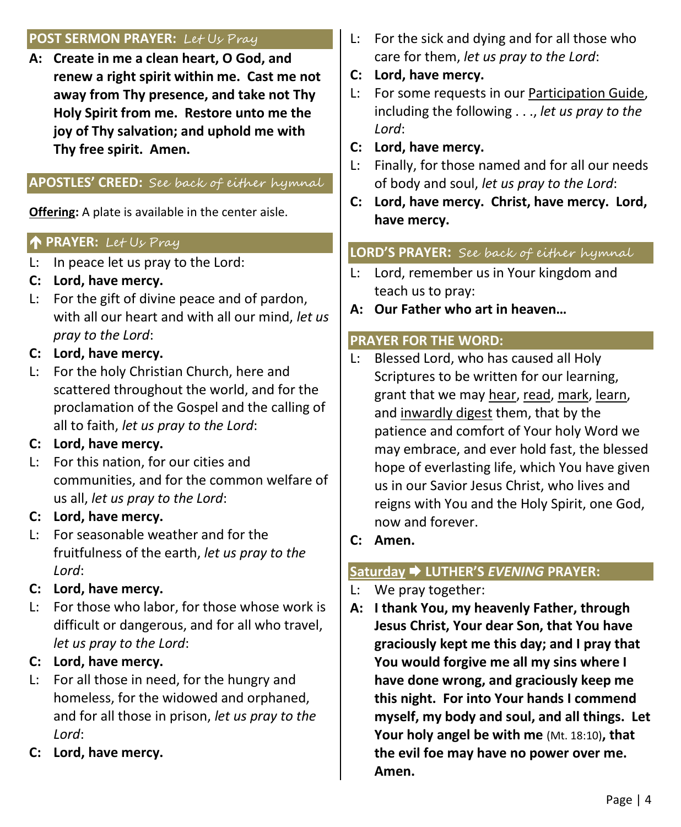#### **POST SERMON PRAYER:** Let Us Pray

**A: Create in me a clean heart, O God, and renew a right spirit within me. Cast me not away from Thy presence, and take not Thy Holy Spirit from me. Restore unto me the joy of Thy salvation; and uphold me with Thy free spirit. Amen.**

# **APOSTLES' CREED:** See back of either hymnal

**Offering:** A plate is available in the center aisle.

#### **PRAYER:** Let Us Pray

- L: In peace let us pray to the Lord:
- **C: Lord, have mercy.**
- L: For the gift of divine peace and of pardon, with all our heart and with all our mind, *let us pray to the Lord*:
- **C: Lord, have mercy.**
- L: For the holy Christian Church, here and scattered throughout the world, and for the proclamation of the Gospel and the calling of all to faith, *let us pray to the Lord*:

# **C: Lord, have mercy.**

L: For this nation, for our cities and communities, and for the common welfare of us all, *let us pray to the Lord*:

# **C: Lord, have mercy.**

L: For seasonable weather and for the fruitfulness of the earth, *let us pray to the Lord*:

# **C: Lord, have mercy.**

L: For those who labor, for those whose work is difficult or dangerous, and for all who travel, *let us pray to the Lord*:

# **C: Lord, have mercy.**

- L: For all those in need, for the hungry and homeless, for the widowed and orphaned, and for all those in prison, *let us pray to the Lord*:
- **C: Lord, have mercy.**
- L: For the sick and dying and for all those who care for them, *let us pray to the Lord*:
- **C: Lord, have mercy.**
- L: For some requests in our Participation Guide, including the following . . ., *let us pray to the Lord*:
- **C: Lord, have mercy.**
- L: Finally, for those named and for all our needs of body and soul, *let us pray to the Lord*:
- **C: Lord, have mercy. Christ, have mercy. Lord, have mercy.**

# **LORD'S PRAYER:** See back of either hymnal

- L: Lord, remember us in Your kingdom and teach us to pray:
- **A: Our Father who art in heaven…**

#### **PRAYER FOR THE WORD:**

- L: Blessed Lord, who has caused all Holy Scriptures to be written for our learning, grant that we may hear, read, mark, learn, and inwardly digest them, that by the patience and comfort of Your holy Word we may embrace, and ever hold fast, the blessed hope of everlasting life, which You have given us in our Savior Jesus Christ, who lives and reigns with You and the Holy Spirit, one God, now and forever.
- **C: Amen.**

# **Saturday LUTHER'S** *EVENING* **PRAYER:**

- L: We pray together:
- **A: I thank You, my heavenly Father, through Jesus Christ, Your dear Son, that You have graciously kept me this day; and I pray that You would forgive me all my sins where I have done wrong, and graciously keep me this night. For into Your hands I commend myself, my body and soul, and all things. Let Your holy angel be with me** (Mt. 18:10)**, that the evil foe may have no power over me. Amen.**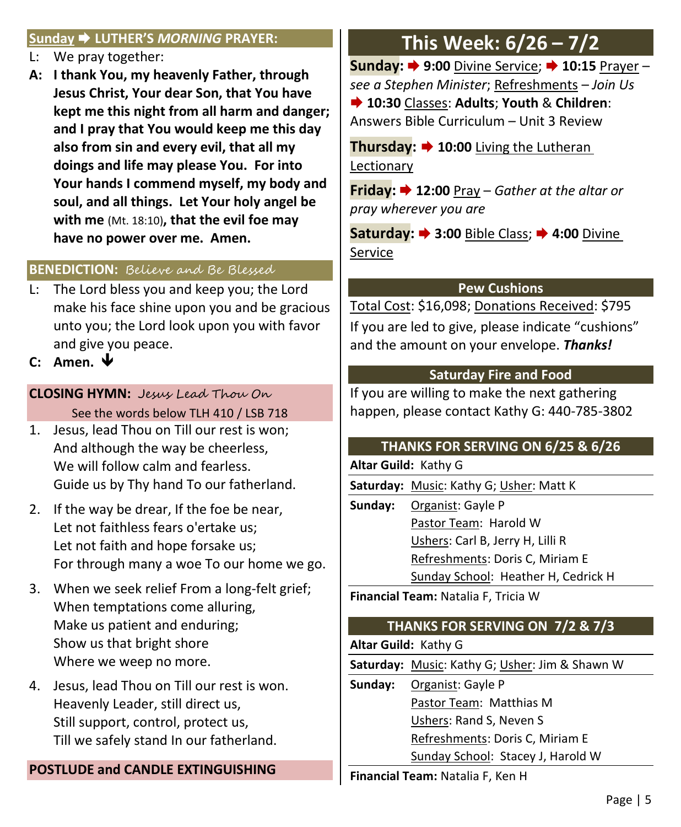#### **Sunday LUTHER'S** *MORNING* **PRAYER:**

- L: We pray together:
- **A: I thank You, my heavenly Father, through Jesus Christ, Your dear Son, that You have kept me this night from all harm and danger; and I pray that You would keep me this day also from sin and every evil, that all my doings and life may please You. For into Your hands I commend myself, my body and soul, and all things. Let Your holy angel be with me** (Mt. 18:10)**, that the evil foe may have no power over me. Amen.**

#### **BENEDICTION:** Believe and Be Blessed

- L: The Lord bless you and keep you; the Lord make his face shine upon you and be gracious unto you; the Lord look upon you with favor and give you peace.
- **C: Amen.**

# **CLOSING HYMN:** Jesus Lead Thou On See the words below TLH 410 / LSB 718

- 1. Jesus, lead Thou on Till our rest is won; And although the way be cheerless, We will follow calm and fearless. Guide us by Thy hand To our fatherland.
- 2. If the way be drear, If the foe be near, Let not faithless fears o'ertake us; Let not faith and hope forsake us; For through many a woe To our home we go.
- 3. When we seek relief From a long-felt grief; When temptations come alluring, Make us patient and enduring; Show us that bright shore Where we weep no more.
- 4. Jesus, lead Thou on Till our rest is won. Heavenly Leader, still direct us, Still support, control, protect us, Till we safely stand In our fatherland.

# **POSTLUDE and CANDLE EXTINGUISHING**

# **This Week: 6/26 – 7/2**

**Sunday: ♦ 9:00** Divine Service; ♦ 10:15 Prayer – *see a Stephen Minister*; Refreshments – *Join Us* **10:30** Classes: **Adults**; **Youth** & **Children**: Answers Bible Curriculum – Unit 3 Review

**Thursday: 10:00** Living the Lutheran Lectionary

**Friday: 12:00** Pray – *Gather at the altar or pray wherever you are*

**Saturday: 3:00** Bible Class; **4:00** Divine Service

#### **Pew Cushions**

Total Cost: \$16,098; Donations Received: \$795 If you are led to give, please indicate "cushions" and the amount on your envelope. *Thanks!*

#### **Saturday Fire and Food**

If you are willing to make the next gathering happen, please contact Kathy G: 440-785-3802

# **THANKS FOR SERVING ON 6/25 & 6/26**

**Altar Guild:** Kathy G

**Saturday:** Music: Kathy G; Usher: Matt K

**Sunday:** Organist: Gayle P Pastor Team: Harold W Ushers: Carl B, Jerry H, Lilli R Refreshments: Doris C, Miriam E Sunday School: Heather H, Cedrick H

**Financial Team:** Natalia F, Tricia W

# **THANKS FOR SERVING ON 7/2 & 7/3**

**Altar Guild:** Kathy G

**Saturday:** Music: Kathy G; Usher: Jim & Shawn W

**Sunday:** Organist: Gayle P

Pastor Team: Matthias M

Ushers: Rand S, Neven S

Refreshments: Doris C, Miriam E

Sunday School: Stacey J, Harold W

**Financial Team:** Natalia F, Ken H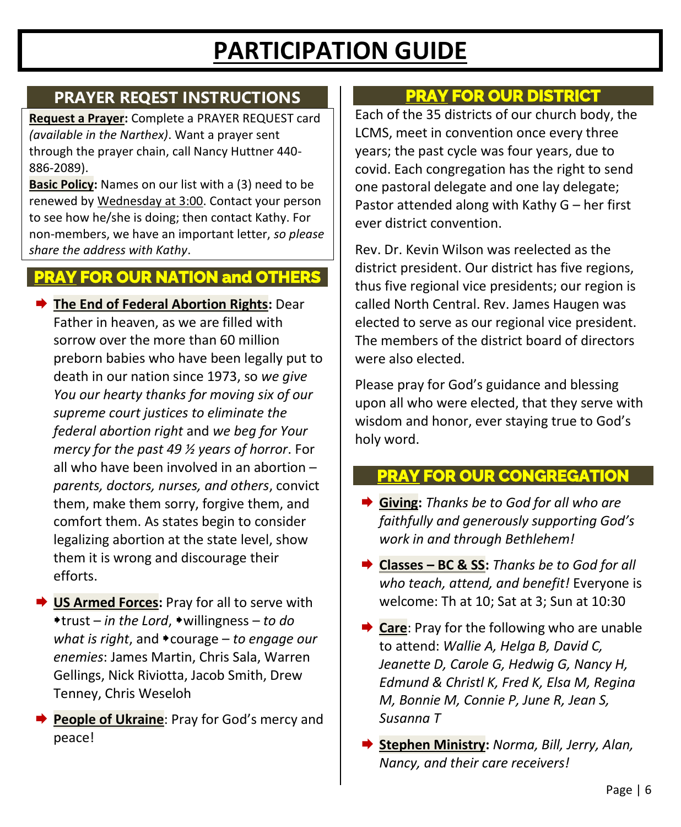# **PARTICIPATION GUIDE**

# **PRAYER REQEST INSTRUCTIONS**

**Request a Prayer:** Complete a PRAYER REQUEST card *(available in the Narthex)*. Want a prayer sent through the prayer chain, call Nancy Huttner 440- 886-2089).

**Basic Policy:** Names on our list with a (3) need to be renewed by Wednesday at 3:00. Contact your person to see how he/she is doing; then contact Kathy. For non-members, we have an important letter, *so please share the address with Kathy*.

# **PRAY FOR OUR NATION and OTHERS**

- **The End of Federal Abortion Rights:** Dear Father in heaven, as we are filled with sorrow over the more than 60 million preborn babies who have been legally put to death in our nation since 1973, so *we give You our hearty thanks for moving six of our supreme court justices to eliminate the federal abortion right* and *we beg for Your mercy for the past 49 ½ years of horror*. For all who have been involved in an abortion – *parents, doctors, nurses, and others*, convict them, make them sorry, forgive them, and comfort them. As states begin to consider legalizing abortion at the state level, show them it is wrong and discourage their efforts.
- **US Armed Forces:** Pray for all to serve with trust – *in the Lord*, willingness – *to do what is right, and • courage – to engage our enemies*: James Martin, Chris Sala, Warren Gellings, Nick Riviotta, Jacob Smith, Drew Tenney, Chris Weseloh
- **People of Ukraine**: Pray for God's mercy and peace!

# **PRAY FOR OUR DISTRICT**

Each of the 35 districts of our church body, the LCMS, meet in convention once every three years; the past cycle was four years, due to covid. Each congregation has the right to send one pastoral delegate and one lay delegate; Pastor attended along with Kathy G – her first ever district convention.

Rev. Dr. Kevin Wilson was reelected as the district president. Our district has five regions, thus five regional vice presidents; our region is called North Central. Rev. James Haugen was elected to serve as our regional vice president. The members of the district board of directors were also elected.

Please pray for God's guidance and blessing upon all who were elected, that they serve with wisdom and honor, ever staying true to God's holy word.

# **PRAY FOR OUR CONGREGATION**

- **Giving:** *Thanks be to God for all who are faithfully and generously supporting God's work in and through Bethlehem!*
- **Classes – BC & SS:** *Thanks be to God for all who teach, attend, and benefit!* Everyone is welcome: Th at 10; Sat at 3; Sun at 10:30
- **Care**: Pray for the following who are unable to attend: *Wallie A, Helga B, David C, Jeanette D, Carole G, Hedwig G, Nancy H, Edmund & Christl K, Fred K, Elsa M, Regina M, Bonnie M, Connie P, June R, Jean S, Susanna T*
- **Stephen Ministry:** *Norma, Bill, Jerry, Alan, Nancy, and their care receivers!*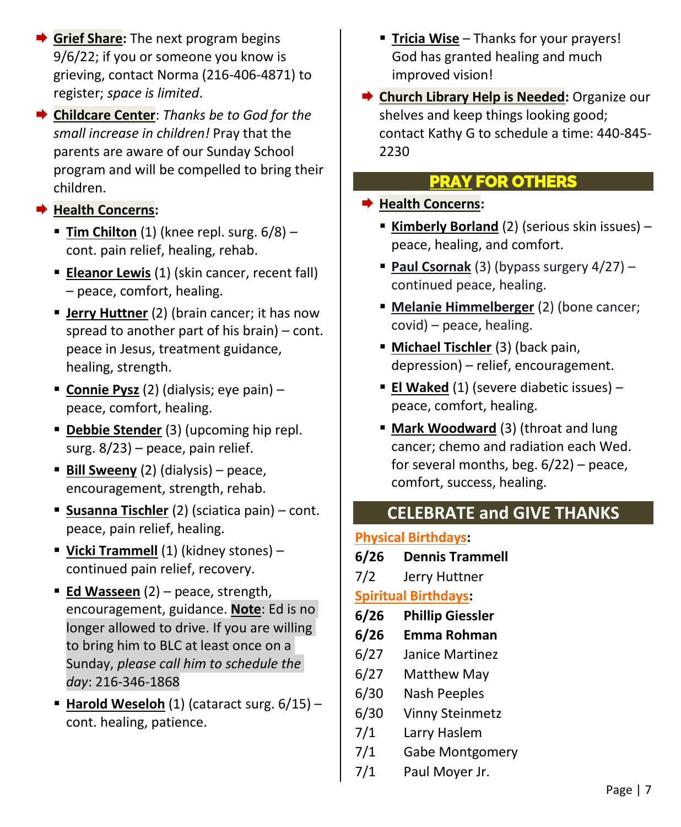- **→ Grief Share:** The next program begins 9/6/22; if you or someone you know is grieving, contact Norma (216-406-4871) to register; *space is limited*.
- **→ Childcare Center**: *Thanks be to God for the small increase in children!* Pray that the parents are aware of our Sunday School program and will be compelled to bring their children.

# **Health Concerns:**

- **Tim Chilton** (1) (knee repl. surg.  $6/8$ ) cont. pain relief, healing, rehab.
- **Eleanor Lewis** (1) (skin cancer, recent fall) – peace, comfort, healing.
- **E** Jerry Huttner (2) (brain cancer; it has now spread to another part of his brain) – cont. peace in Jesus, treatment guidance, healing, strength.
- **Connie Pysz** (2) (dialysis; eye pain) peace, comfort, healing.
- **Debbie Stender** (3) (upcoming hip repl. surg. 8/23) – peace, pain relief.
- **Bill Sweeny** (2) (dialysis) peace, encouragement, strength, rehab.
- **Susanna Tischler** (2) (sciatica pain) cont. peace, pain relief, healing.
- **Vicki Trammell** (1) (kidney stones) continued pain relief, recovery.
- **Ed Wasseen** (2) peace, strength, encouragement, guidance. **Note**: Ed is no longer allowed to drive. If you are willing to bring him to BLC at least once on a Sunday, *please call him to schedule the day*: 216-346-1868
- **Harold Weseloh** (1) (cataract surg. 6/15) cont. healing, patience.
- **Tricia Wise** Thanks for your prayers! God has granted healing and much improved vision!
- **→ Church Library Help is Needed:** Organize our shelves and keep things looking good; contact Kathy G to schedule a time: 440-845- 2230

# **PRAY FOR OTHERS**

## **Health Concerns:**

- **Kimberly Borland** (2) (serious skin issues) peace, healing, and comfort.
- **Paul Csornak** (3) (bypass surgery 4/27) continued peace, healing.
- **EXECT:** Melanie Himmelberger (2) (bone cancer; covid) – peace, healing.
- **Michael Tischler** (3) (back pain, depression) – relief, encouragement.
- **El Waked** (1) (severe diabetic issues) peace, comfort, healing.
- **E** Mark Woodward (3) (throat and lung cancer; chemo and radiation each Wed. for several months, beg. 6/22) – peace, comfort, success, healing.

# **CELEBRATE and GIVE THANKS**

# **Physical Birthdays:**

- **6/26 Dennis Trammell**
- 7/2 Jerry Huttner

# **Spiritual Birthdays:**

- **6/26 Phillip Giessler**
- **6/26 Emma Rohman**
- 6/27 Janice Martinez
- 6/27 Matthew May
- 6/30 Nash Peeples
- 6/30 Vinny Steinmetz
- 7/1 Larry Haslem
- 7/1 Gabe Montgomery
- 7/1 Paul Moyer Jr.